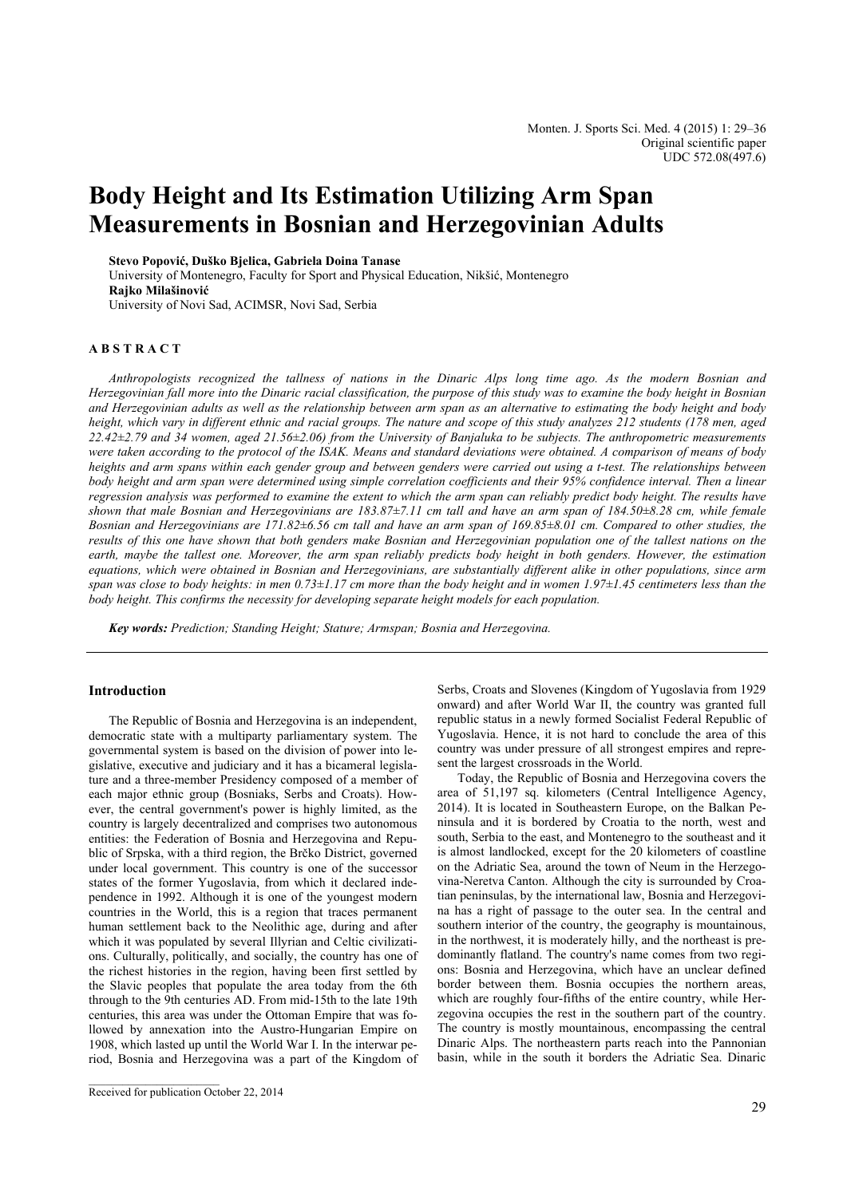# **Body Height and Its Estimation Utilizing Arm Span Measurements in Bosnian and Herzegovinian Adults**

**Stevo Popović, Duško Bjelica, Gabriela Doina Tanase** 

University of Montenegro, Faculty for Sport and Physical Education, Nikšić, Montenegro **Rajko Milašinović** University of Novi Sad, ACIMSR, Novi Sad, Serbia

### **A B S T R A C T**

*Anthropologists recognized the tallness of nations in the Dinaric Alps long time ago. As the modern Bosnian and Herzegovinian fall more into the Dinaric racial classification, the purpose of this study was to examine the body height in Bosnian and Herzegovinian adults as well as the relationship between arm span as an alternative to estimating the body height and body height, which vary in different ethnic and racial groups. The nature and scope of this study analyzes 212 students (178 men, aged 22.42±2.79 and 34 women, aged 21.56±2.06) from the University of Banjaluka to be subjects. The anthropometric measurements were taken according to the protocol of the ISAK. Means and standard deviations were obtained. A comparison of means of body heights and arm spans within each gender group and between genders were carried out using a t-test. The relationships between body height and arm span were determined using simple correlation coefficients and their 95% confidence interval. Then a linear regression analysis was performed to examine the extent to which the arm span can reliably predict body height. The results have shown that male Bosnian and Herzegovinians are 183.87±7.11 cm tall and have an arm span of 184.50±8.28 cm, while female Bosnian and Herzegovinians are 171.82±6.56 cm tall and have an arm span of 169.85±8.01 cm. Compared to other studies, the results of this one have shown that both genders make Bosnian and Herzegovinian population one of the tallest nations on the earth, maybe the tallest one. Moreover, the arm span reliably predicts body height in both genders. However, the estimation equations, which were obtained in Bosnian and Herzegovinians, are substantially different alike in other populations, since arm span was close to body heights: in men 0.73±1.17 cm more than the body height and in women 1.97±1.45 centimeters less than the body height. This confirms the necessity for developing separate height models for each population.* 

*Key words: Prediction; Standing Height; Stature; Armspan; Bosnia and Herzegovina.* 

#### **Introduction**

The Republic of Bosnia and Herzegovina is an independent, democratic state with a multiparty parliamentary system. The governmental system is based on the division of power into legislative, executive and judiciary and it has a bicameral legislature and a three-member Presidency composed of a member of each major ethnic group (Bosniaks, Serbs and Croats). However, the central government's power is highly limited, as the country is largely decentralized and comprises two autonomous entities: the Federation of Bosnia and Herzegovina and Republic of Srpska, with a third region, the Brčko District, governed under local government. This country is one of the successor states of the former Yugoslavia, from which it declared independence in 1992. Although it is one of the youngest modern countries in the World, this is a region that traces permanent human settlement back to the Neolithic age, during and after which it was populated by several Illyrian and Celtic civilizations. Culturally, politically, and socially, the country has one of the richest histories in the region, having been first settled by the Slavic peoples that populate the area today from the 6th through to the 9th centuries AD. From mid-15th to the late 19th centuries, this area was under the Ottoman Empire that was followed by annexation into the Austro-Hungarian Empire on 1908, which lasted up until the World War I. In the interwar period, Bosnia and Herzegovina was a part of the Kingdom of

\_\_\_\_\_\_\_\_\_\_\_\_\_\_\_\_\_\_\_\_\_\_\_

Serbs, Croats and Slovenes (Kingdom of Yugoslavia from 1929 onward) and after World War II, the country was granted full republic status in a newly formed Socialist Federal Republic of Yugoslavia. Hence, it is not hard to conclude the area of this country was under pressure of all strongest empires and represent the largest crossroads in the World.

Today, the Republic of Bosnia and Herzegovina covers the area of 51,197 sq. kilometers (Central Intelligence Agency, 2014). It is located in Southeastern Europe, on the Balkan Peninsula and it is bordered by Croatia to the north, west and south, Serbia to the east, and Montenegro to the southeast and it is almost landlocked, except for the 20 kilometers of coastline on the Adriatic Sea, around the town of Neum in the Herzegovina-Neretva Canton. Although the city is surrounded by Croatian peninsulas, by the international law, Bosnia and Herzegovina has a right of passage to the outer sea. In the central and southern interior of the country, the geography is mountainous, in the northwest, it is moderately hilly, and the northeast is predominantly flatland. The country's name comes from two regions: Bosnia and Herzegovina, which have an unclear defined border between them. Bosnia occupies the northern areas, which are roughly four-fifths of the entire country, while Herzegovina occupies the rest in the southern part of the country. The country is mostly mountainous, encompassing the central Dinaric Alps. The northeastern parts reach into the Pannonian basin, while in the south it borders the Adriatic Sea. Dinaric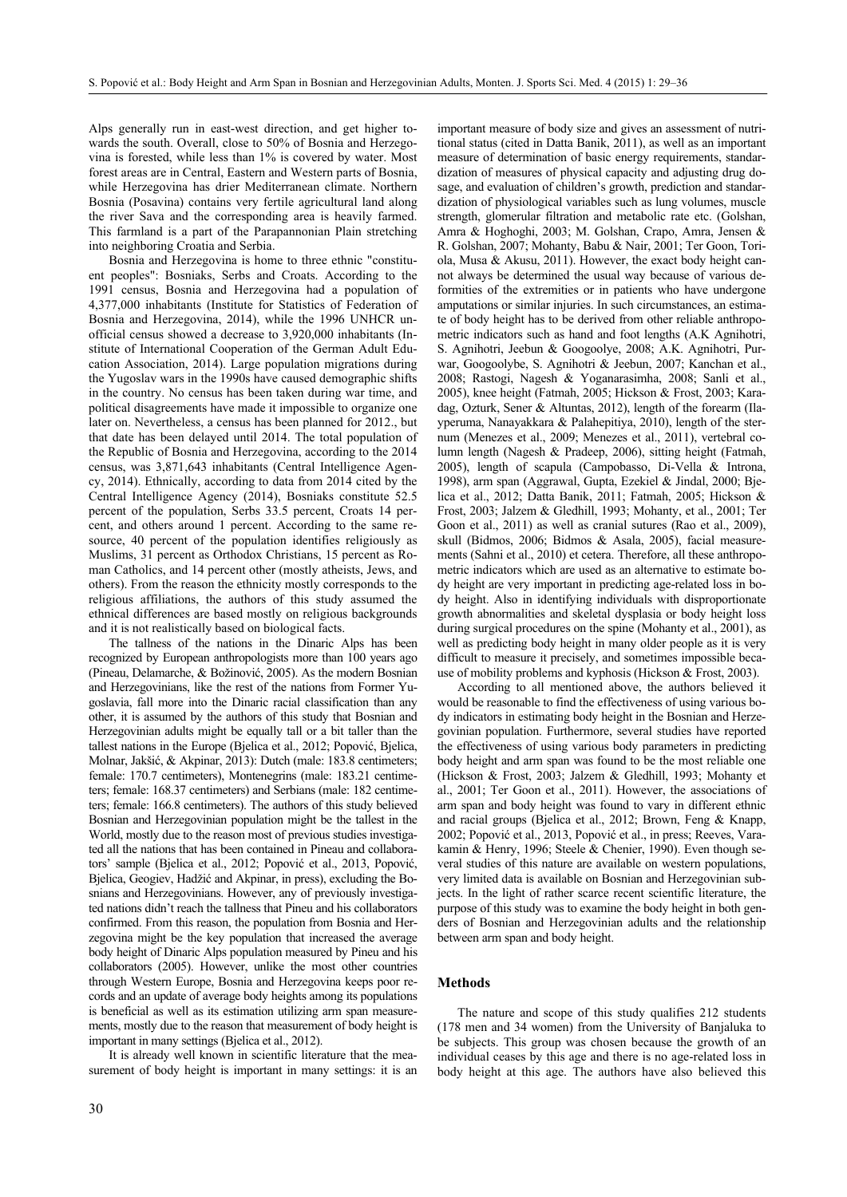Alps generally run in east-west direction, and get higher towards the south. Overall, close to 50% of Bosnia and Herzegovina is forested, while less than 1% is covered by water. Most forest areas are in Central, Eastern and Western parts of Bosnia, while Herzegovina has drier Mediterranean climate. Northern Bosnia (Posavina) contains very fertile agricultural land along the river Sava and the corresponding area is heavily farmed. This farmland is a part of the Parapannonian Plain stretching into neighboring Croatia and Serbia.

Bosnia and Herzegovina is home to three ethnic "constituent peoples": Bosniaks, Serbs and Croats. According to the 1991 census, Bosnia and Herzegovina had a population of 4,377,000 inhabitants (Institute for Statistics of Federation of Bosnia and Herzegovina, 2014), while the 1996 UNHCR unofficial census showed a decrease to 3,920,000 inhabitants (Institute of International Cooperation of the German Adult Education Association, 2014). Large population migrations during the Yugoslav wars in the 1990s have caused demographic shifts in the country. No census has been taken during war time, and political disagreements have made it impossible to organize one later on. Nevertheless, a census has been planned for 2012., but that date has been delayed until 2014. The total population of the Republic of Bosnia and Herzegovina, according to the 2014 census, was 3,871,643 inhabitants (Central Intelligence Agency, 2014). Ethnically, according to data from 2014 cited by the Central Intelligence Agency (2014), Bosniaks constitute 52.5 percent of the population, Serbs 33.5 percent, Croats 14 percent, and others around 1 percent. According to the same resource, 40 percent of the population identifies religiously as Muslims, 31 percent as Orthodox Christians, 15 percent as Roman Catholics, and 14 percent other (mostly atheists, Jews, and others). From the reason the ethnicity mostly corresponds to the religious affiliations, the authors of this study assumed the ethnical differences are based mostly on religious backgrounds and it is not realistically based on biological facts.

The tallness of the nations in the Dinaric Alps has been recognized by European anthropologists more than 100 years ago (Pineau, Delamarche, & Božinović, 2005). As the modern Bosnian and Herzegovinians, like the rest of the nations from Former Yugoslavia, fall more into the Dinaric racial classification than any other, it is assumed by the authors of this study that Bosnian and Herzegovinian adults might be equally tall or a bit taller than the tallest nations in the Europe (Bjelica et al., 2012; Popović, Bjelica, Molnar, Jakšić, & Akpinar, 2013): Dutch (male: 183.8 centimeters; female: 170.7 centimeters), Montenegrins (male: 183.21 centimeters; female: 168.37 centimeters) and Serbians (male: 182 centimeters; female: 166.8 centimeters). The authors of this study believed Bosnian and Herzegovinian population might be the tallest in the World, mostly due to the reason most of previous studies investigated all the nations that has been contained in Pineau and collaborators' sample (Bjelica et al., 2012; Popović et al., 2013, Popović, Bjelica, Geogiev, Hadžić and Akpinar, in press), excluding the Bosnians and Herzegovinians. However, any of previously investigated nations didn't reach the tallness that Pineu and his collaborators confirmed. From this reason, the population from Bosnia and Herzegovina might be the key population that increased the average body height of Dinaric Alps population measured by Pineu and his collaborators (2005). However, unlike the most other countries through Western Europe, Bosnia and Herzegovina keeps poor records and an update of average body heights among its populations is beneficial as well as its estimation utilizing arm span measurements, mostly due to the reason that measurement of body height is important in many settings (Bjelica et al., 2012).

It is already well known in scientific literature that the measurement of body height is important in many settings: it is an

important measure of body size and gives an assessment of nutritional status (cited in Datta Banik, 2011), as well as an important measure of determination of basic energy requirements, standardization of measures of physical capacity and adjusting drug dosage, and evaluation of children's growth, prediction and standardization of physiological variables such as lung volumes, muscle strength, glomerular filtration and metabolic rate etc. (Golshan, Amra & Hoghoghi, 2003; M. Golshan, Crapo, Amra, Jensen & R. Golshan, 2007; Mohanty, Babu & Nair, 2001; Ter Goon, Toriola, Musa & Akusu, 2011). However, the exact body height cannot always be determined the usual way because of various deformities of the extremities or in patients who have undergone amputations or similar injuries. In such circumstances, an estimate of body height has to be derived from other reliable anthropometric indicators such as hand and foot lengths (A.K Agnihotri, S. Agnihotri, Jeebun & Googoolye, 2008; A.K. Agnihotri, Purwar, Googoolybe, S. Agnihotri & Jeebun, 2007; Kanchan et al., 2008; Rastogi, Nagesh & Yoganarasimha, 2008; Sanli et al., 2005), knee height (Fatmah, 2005; Hickson & Frost, 2003; Karadag, Ozturk, Sener & Altuntas, 2012), length of the forearm (Ilayperuma, Nanayakkara & Palahepitiya, 2010), length of the sternum (Menezes et al., 2009; Menezes et al., 2011), vertebral column length (Nagesh & Pradeep, 2006), sitting height (Fatmah, 2005), length of scapula (Campobasso, Di-Vella & Introna, 1998), arm span (Aggrawal, Gupta, Ezekiel & Jindal, 2000; Bjelica et al., 2012; Datta Banik, 2011; Fatmah, 2005; Hickson & Frost, 2003; Jalzem & Gledhill, 1993; Mohanty, et al., 2001; Ter Goon et al., 2011) as well as cranial sutures (Rao et al., 2009), skull (Bidmos, 2006; Bidmos & Asala, 2005), facial measurements (Sahni et al., 2010) et cetera. Therefore, all these anthropometric indicators which are used as an alternative to estimate body height are very important in predicting age-related loss in body height. Also in identifying individuals with disproportionate growth abnormalities and skeletal dysplasia or body height loss during surgical procedures on the spine (Mohanty et al., 2001), as well as predicting body height in many older people as it is very difficult to measure it precisely, and sometimes impossible because of mobility problems and kyphosis (Hickson & Frost, 2003).

According to all mentioned above, the authors believed it would be reasonable to find the effectiveness of using various body indicators in estimating body height in the Bosnian and Herzegovinian population. Furthermore, several studies have reported the effectiveness of using various body parameters in predicting body height and arm span was found to be the most reliable one (Hickson & Frost, 2003; Jalzem & Gledhill, 1993; Mohanty et al., 2001; Ter Goon et al., 2011). However, the associations of arm span and body height was found to vary in different ethnic and racial groups (Bjelica et al., 2012; Brown, Feng & Knapp, 2002; Popović et al., 2013, Popović et al., in press; Reeves, Varakamin & Henry, 1996; Steele & Chenier, 1990). Even though several studies of this nature are available on western populations, very limited data is available on Bosnian and Herzegovinian subjects. In the light of rather scarce recent scientific literature, the purpose of this study was to examine the body height in both genders of Bosnian and Herzegovinian adults and the relationship between arm span and body height.

#### **Methods**

The nature and scope of this study qualifies 212 students (178 men and 34 women) from the University of Banjaluka to be subjects. This group was chosen because the growth of an individual ceases by this age and there is no age-related loss in body height at this age. The authors have also believed this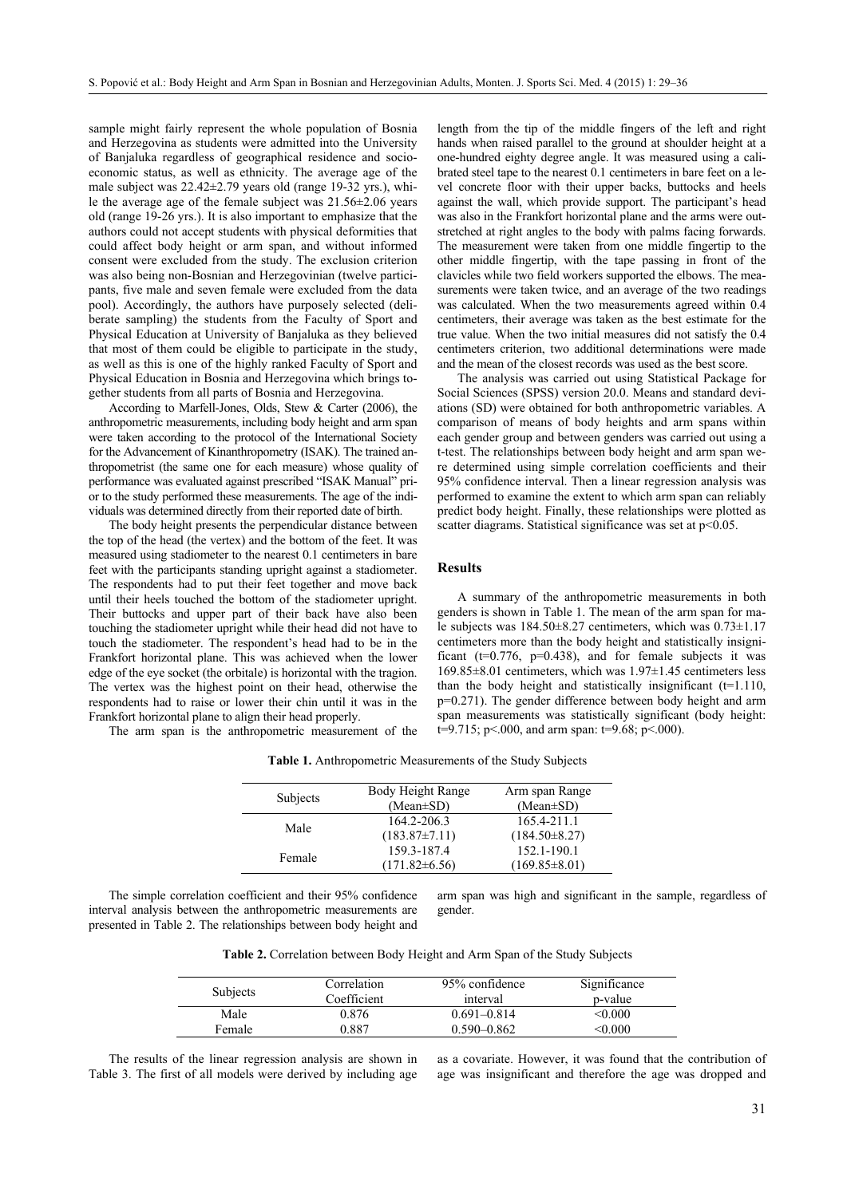sample might fairly represent the whole population of Bosnia and Herzegovina as students were admitted into the University of Banjaluka regardless of geographical residence and socioeconomic status, as well as ethnicity. The average age of the male subject was 22.42±2.79 years old (range 19-32 yrs.), while the average age of the female subject was 21.56±2.06 years old (range 19-26 yrs.). It is also important to emphasize that the authors could not accept students with physical deformities that could affect body height or arm span, and without informed consent were excluded from the study. The exclusion criterion was also being non-Bosnian and Herzegovinian (twelve participants, five male and seven female were excluded from the data pool). Accordingly, the authors have purposely selected (deliberate sampling) the students from the Faculty of Sport and Physical Education at University of Banjaluka as they believed that most of them could be eligible to participate in the study, as well as this is one of the highly ranked Faculty of Sport and Physical Education in Bosnia and Herzegovina which brings together students from all parts of Bosnia and Herzegovina.

According to Marfell-Jones, Olds, Stew & Carter (2006), the anthropometric measurements, including body height and arm span were taken according to the protocol of the International Society for the Advancement of Kinanthropometry (ISAK). The trained anthropometrist (the same one for each measure) whose quality of performance was evaluated against prescribed "ISAK Manual" prior to the study performed these measurements. The age of the individuals was determined directly from their reported date of birth.

The body height presents the perpendicular distance between the top of the head (the vertex) and the bottom of the feet. It was measured using stadiometer to the nearest 0.1 centimeters in bare feet with the participants standing upright against a stadiometer. The respondents had to put their feet together and move back until their heels touched the bottom of the stadiometer upright. Their buttocks and upper part of their back have also been touching the stadiometer upright while their head did not have to touch the stadiometer. The respondent's head had to be in the Frankfort horizontal plane. This was achieved when the lower edge of the eye socket (the orbitale) is horizontal with the tragion. The vertex was the highest point on their head, otherwise the respondents had to raise or lower their chin until it was in the Frankfort horizontal plane to align their head properly.

The arm span is the anthropometric measurement of the

length from the tip of the middle fingers of the left and right hands when raised parallel to the ground at shoulder height at a one-hundred eighty degree angle. It was measured using a calibrated steel tape to the nearest 0.1 centimeters in bare feet on a level concrete floor with their upper backs, buttocks and heels against the wall, which provide support. The participant's head was also in the Frankfort horizontal plane and the arms were outstretched at right angles to the body with palms facing forwards. The measurement were taken from one middle fingertip to the other middle fingertip, with the tape passing in front of the clavicles while two field workers supported the elbows. The measurements were taken twice, and an average of the two readings was calculated. When the two measurements agreed within 0.4 centimeters, their average was taken as the best estimate for the true value. When the two initial measures did not satisfy the 0.4 centimeters criterion, two additional determinations were made and the mean of the closest records was used as the best score.

The analysis was carried out using Statistical Package for Social Sciences (SPSS) version 20.0. Means and standard deviations (SD) were obtained for both anthropometric variables. A comparison of means of body heights and arm spans within each gender group and between genders was carried out using a t-test. The relationships between body height and arm span were determined using simple correlation coefficients and their 95% confidence interval. Then a linear regression analysis was performed to examine the extent to which arm span can reliably predict body height. Finally, these relationships were plotted as scatter diagrams. Statistical significance was set at  $p<0.05$ .

#### **Results**

A summary of the anthropometric measurements in both genders is shown in Table 1. The mean of the arm span for male subjects was 184.50±8.27 centimeters, which was 0.73±1.17 centimeters more than the body height and statistically insignificant ( $t=0.776$ ,  $p=0.438$ ), and for female subjects it was 169.85±8.01 centimeters, which was 1.97±1.45 centimeters less than the body height and statistically insignificant  $(t=1.110)$ , p=0.271). The gender difference between body height and arm span measurements was statistically significant (body height: t=9.715; p<.000, and arm span: t=9.68; p<.000).

|          | Body Height Range   | Arm span Range      |
|----------|---------------------|---------------------|
| Subjects | $(Mean \pm SD)$     | $(Mean \pm SD)$     |
|          | 164.2-206.3         | 165.4-211.1         |
| Male     | $(183.87 \pm 7.11)$ | $(184.50 \pm 8.27)$ |
| Female   | 159.3-187.4         | 152.1-190.1         |
|          | $(171.82 \pm 6.56)$ | $(169.85 \pm 8.01)$ |

**Table 1.** Anthropometric Measurements of the Study Subjects

The simple correlation coefficient and their 95% confidence interval analysis between the anthropometric measurements are presented in Table 2. The relationships between body height and arm span was high and significant in the sample, regardless of gender.

**Table 2.** Correlation between Body Height and Arm Span of the Study Subjects

| Subjects | Correlation<br>Coefficient | 95% confidence<br>interval | Significance<br>p-value |
|----------|----------------------------|----------------------------|-------------------------|
| Male     | 0.876                      | $0.691 - 0.814$            | < 0.000                 |
| Female   | 0.887                      | $0.590 - 0.862$            | <0.000                  |

The results of the linear regression analysis are shown in Table 3. The first of all models were derived by including age

as a covariate. However, it was found that the contribution of age was insignificant and therefore the age was dropped and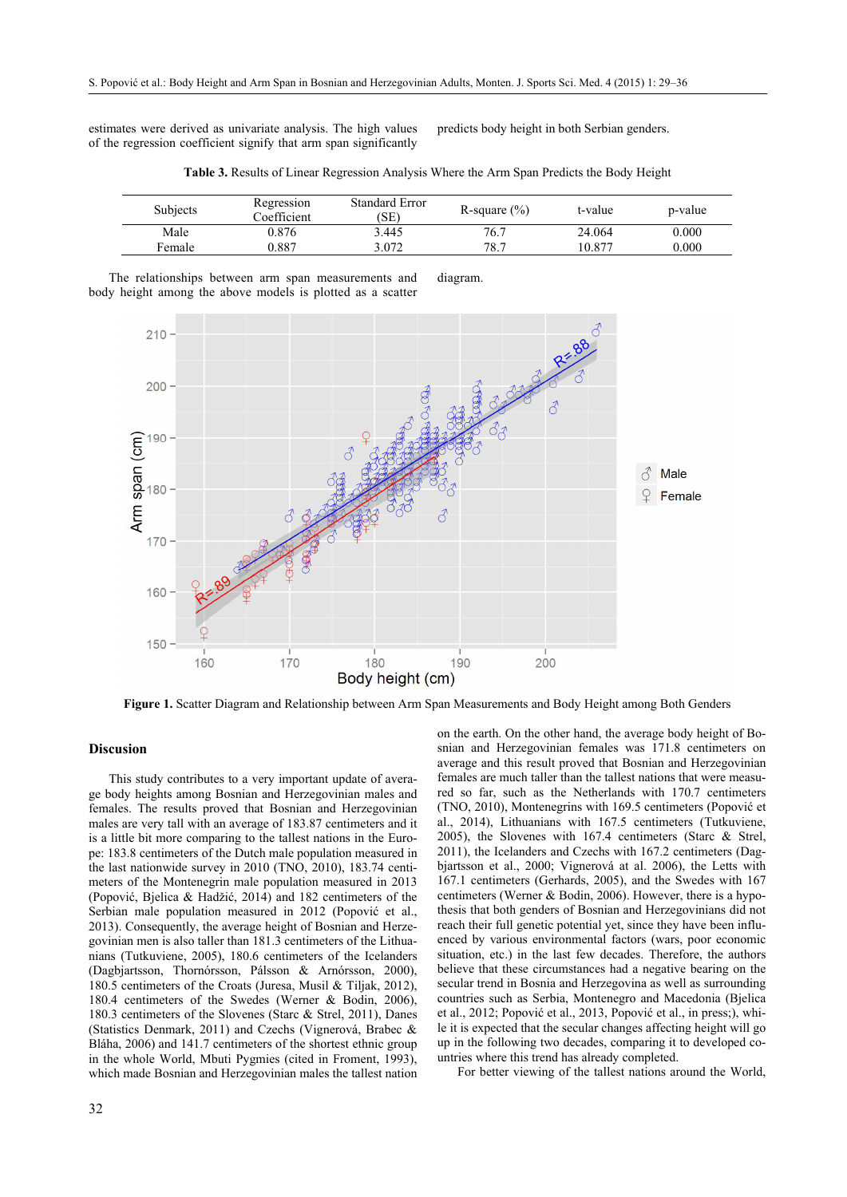estimates were derived as univariate analysis. The high values of the regression coefficient signify that arm span significantly

predicts body height in both Serbian genders.

| <b>Subjects</b> | Regression<br>Coefficient | Standard Error<br>(SE) | R-square $(\%)$ | t-value | p-value |
|-----------------|---------------------------|------------------------|-----------------|---------|---------|
| Male            | 0.876                     | 3.445                  | 76.7            | 24.064  | 0.000   |
| Female          | 0.887                     | 3.072                  | 78.7            | 10.877  | 0.000   |

**Table 3.** Results of Linear Regression Analysis Where the Arm Span Predicts the Body Height

The relationships between arm span measurements and body height among the above models is plotted as a scatter diagram.



**Figure 1.** Scatter Diagram and Relationship between Arm Span Measurements and Body Height among Both Genders

#### **Discusion**

This study contributes to a very important update of average body heights among Bosnian and Herzegovinian males and females. The results proved that Bosnian and Herzegovinian males are very tall with an average of 183.87 centimeters and it is a little bit more comparing to the tallest nations in the Europe: 183.8 centimeters of the Dutch male population measured in the last nationwide survey in 2010 (TNO, 2010), 183.74 centimeters of the Montenegrin male population measured in 2013 (Popović, Bjelica & Hadžić, 2014) and 182 centimeters of the Serbian male population measured in 2012 (Popović et al., 2013). Consequently, the average height of Bosnian and Herzegovinian men is also taller than 181.3 centimeters of the Lithuanians (Tutkuviene, 2005), 180.6 centimeters of the Icelanders (Dagbjartsson, Thornórsson, Pálsson & Arnórsson, 2000), 180.5 centimeters of the Croats (Juresa, Musil & Tiljak, 2012), 180.4 centimeters of the Swedes (Werner & Bodin, 2006), 180.3 centimeters of the Slovenes (Starc & Strel, 2011), Danes (Statistics Denmark, 2011) and Czechs (Vignerová, Brabec & Bláha, 2006) and 141.7 centimeters of the shortest ethnic group in the whole World, Mbuti Pygmies (cited in Froment, 1993), which made Bosnian and Herzegovinian males the tallest nation

on the earth. On the other hand, the average body height of Bosnian and Herzegovinian females was 171.8 centimeters on average and this result proved that Bosnian and Herzegovinian females are much taller than the tallest nations that were measured so far, such as the Netherlands with 170.7 centimeters (TNO, 2010), Montenegrins with 169.5 centimeters (Popović et al., 2014), Lithuanians with 167.5 centimeters (Tutkuviene, 2005), the Slovenes with 167.4 centimeters (Starc & Strel, 2011), the Icelanders and Czechs with 167.2 centimeters (Dagbjartsson et al., 2000; Vignerová at al. 2006), the Letts with 167.1 centimeters (Gerhards, 2005), and the Swedes with 167 centimeters (Werner & Bodin, 2006). However, there is a hypothesis that both genders of Bosnian and Herzegovinians did not reach their full genetic potential yet, since they have been influenced by various environmental factors (wars, poor economic situation, etc.) in the last few decades. Therefore, the authors believe that these circumstances had a negative bearing on the secular trend in Bosnia and Herzegovina as well as surrounding countries such as Serbia, Montenegro and Macedonia (Bjelica et al., 2012; Popović et al., 2013, Popović et al., in press;), while it is expected that the secular changes affecting height will go up in the following two decades, comparing it to developed countries where this trend has already completed.

For better viewing of the tallest nations around the World,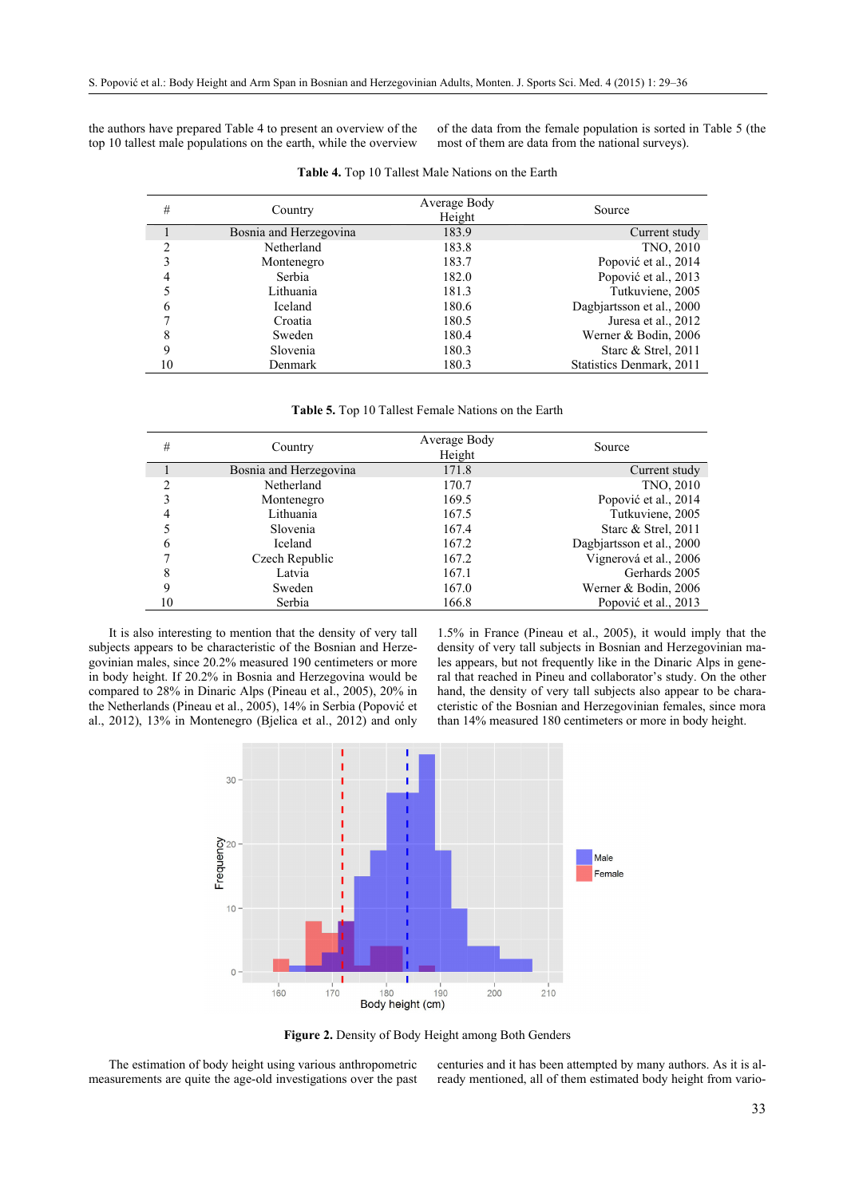the authors have prepared Table 4 to present an overview of the top 10 tallest male populations on the earth, while the overview

of the data from the female population is sorted in Table 5 (the most of them are data from the national surveys).

| #  | Country                | Average Body<br>Height | Source                    |
|----|------------------------|------------------------|---------------------------|
|    | Bosnia and Herzegovina | 183.9                  | Current study             |
| 2  | Netherland             | 183.8                  | TNO, 2010                 |
| 3  | Montenegro             | 183.7                  | Popović et al., 2014      |
| 4  | Serbia                 | 182.0                  | Popović et al., 2013      |
|    | Lithuania              | 181.3                  | Tutkuviene, 2005          |
| 6  | Iceland                | 180.6                  | Dagbiartsson et al., 2000 |
| ⇁  | Croatia                | 180.5                  | Juresa et al., 2012       |
| 8  | Sweden                 | 180.4                  | Werner & Bodin, 2006      |
| 9  | Slovenia               | 180.3                  | Starc & Strel, 2011       |
| 10 | Denmark                | 180.3                  | Statistics Denmark, 2011  |

**Table 4.** Top 10 Tallest Male Nations on the Earth

**Table 5.** Top 10 Tallest Female Nations on the Earth

| #  | Country                | Average Body<br>Height | Source                    |
|----|------------------------|------------------------|---------------------------|
|    | Bosnia and Herzegovina | 171.8                  | Current study             |
|    | Netherland             | 170.7                  | TNO, 2010                 |
| 3  | Montenegro             | 169.5                  | Popović et al., 2014      |
| 4  | Lithuania              | 167.5                  | Tutkuviene, 2005          |
|    | Slovenia               | 167.4                  | Starc & Strel, 2011       |
| 6  | Iceland                | 167.2                  | Dagbjartsson et al., 2000 |
|    | Czech Republic         | 167.2                  | Vignerová et al., 2006    |
| 8  | Latvia                 | 167.1                  | Gerhards 2005             |
| 9  | Sweden                 | 167.0                  | Werner & Bodin, 2006      |
| 10 | Serbia                 | 166.8                  | Popović et al., 2013      |

It is also interesting to mention that the density of very tall subjects appears to be characteristic of the Bosnian and Herzegovinian males, since 20.2% measured 190 centimeters or more in body height. If 20.2% in Bosnia and Herzegovina would be compared to 28% in Dinaric Alps (Pineau et al., 2005), 20% in the Netherlands (Pineau et al., 2005), 14% in Serbia (Popović et al., 2012), 13% in Montenegro (Bjelica et al., 2012) and only

1.5% in France (Pineau et al., 2005), it would imply that the density of very tall subjects in Bosnian and Herzegovinian males appears, but not frequently like in the Dinaric Alps in general that reached in Pineu and collaborator's study. On the other hand, the density of very tall subjects also appear to be characteristic of the Bosnian and Herzegovinian females, since mora than 14% measured 180 centimeters or more in body height.



**Figure 2.** Density of Body Height among Both Genders

The estimation of body height using various anthropometric measurements are quite the age-old investigations over the past centuries and it has been attempted by many authors. As it is already mentioned, all of them estimated body height from vario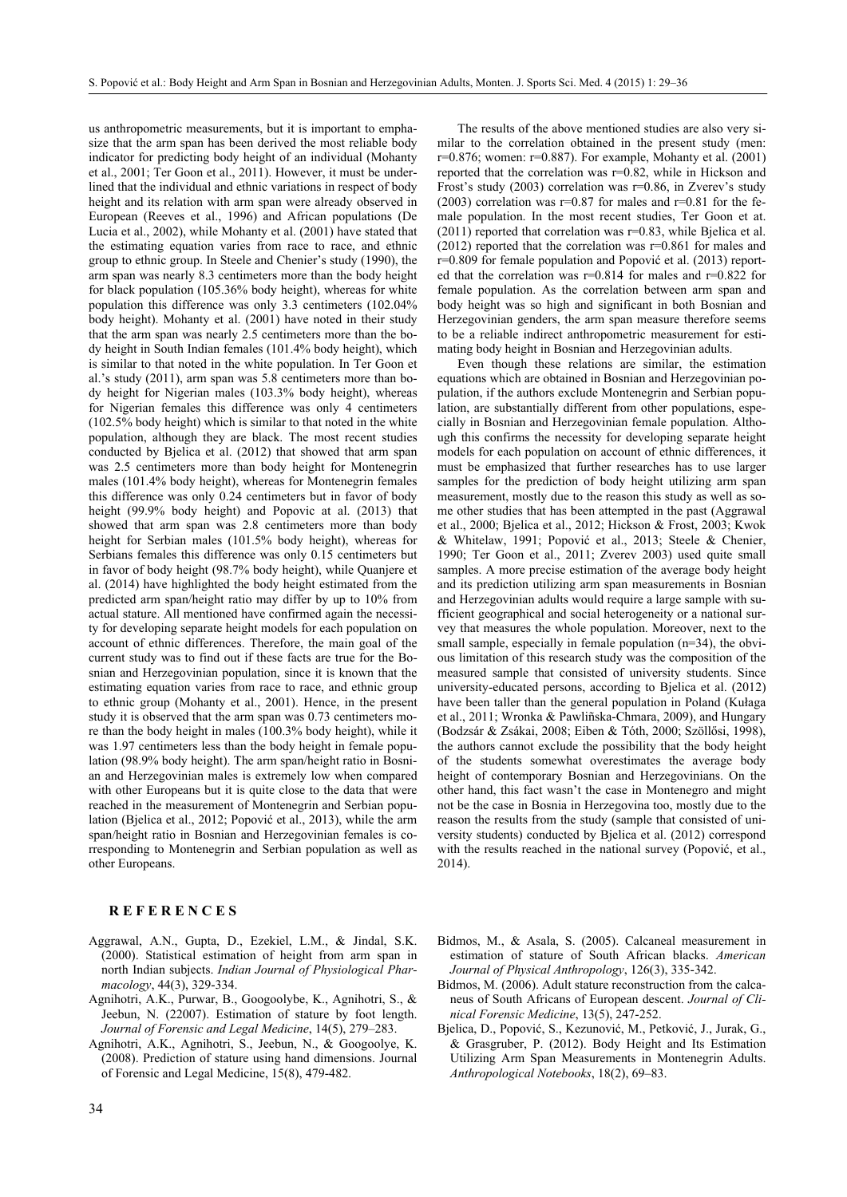us anthropometric measurements, but it is important to emphasize that the arm span has been derived the most reliable body indicator for predicting body height of an individual (Mohanty et al., 2001; Ter Goon et al., 2011). However, it must be underlined that the individual and ethnic variations in respect of body height and its relation with arm span were already observed in European (Reeves et al., 1996) and African populations (De Lucia et al., 2002), while Mohanty et al. (2001) have stated that the estimating equation varies from race to race, and ethnic group to ethnic group. In Steele and Chenier's study (1990), the arm span was nearly 8.3 centimeters more than the body height for black population (105.36% body height), whereas for white population this difference was only 3.3 centimeters (102.04% body height). Mohanty et al. (2001) have noted in their study that the arm span was nearly 2.5 centimeters more than the body height in South Indian females (101.4% body height), which is similar to that noted in the white population. In Ter Goon et al.'s study (2011), arm span was 5.8 centimeters more than body height for Nigerian males (103.3% body height), whereas for Nigerian females this difference was only 4 centimeters (102.5% body height) which is similar to that noted in the white population, although they are black. The most recent studies conducted by Bjelica et al. (2012) that showed that arm span was 2.5 centimeters more than body height for Montenegrin males (101.4% body height), whereas for Montenegrin females this difference was only 0.24 centimeters but in favor of body height (99.9% body height) and Popovic at al. (2013) that showed that arm span was 2.8 centimeters more than body height for Serbian males (101.5% body height), whereas for Serbians females this difference was only 0.15 centimeters but in favor of body height (98.7% body height), while Quanjere et al. (2014) have highlighted the body height estimated from the predicted arm span/height ratio may differ by up to 10% from actual stature. All mentioned have confirmed again the necessity for developing separate height models for each population on account of ethnic differences. Therefore, the main goal of the current study was to find out if these facts are true for the Bosnian and Herzegovinian population, since it is known that the estimating equation varies from race to race, and ethnic group to ethnic group (Mohanty et al., 2001). Hence, in the present study it is observed that the arm span was 0.73 centimeters more than the body height in males (100.3% body height), while it was 1.97 centimeters less than the body height in female population (98.9% body height). The arm span/height ratio in Bosnian and Herzegovinian males is extremely low when compared with other Europeans but it is quite close to the data that were reached in the measurement of Montenegrin and Serbian population (Bjelica et al., 2012; Popović et al., 2013), while the arm span/height ratio in Bosnian and Herzegovinian females is corresponding to Montenegrin and Serbian population as well as other Europeans.

## **R E F E R E N C E S**

- Aggrawal, A.N., Gupta, D., Ezekiel, L.M., & Jindal, S.K. (2000). Statistical estimation of height from arm span in north Indian subjects. *Indian Journal of Physiological Pharmacology*, 44(3), 329-334.
- Agnihotri, A.K., Purwar, B., Googoolybe, K., Agnihotri, S., & Jeebun, N. (22007). Estimation of stature by foot length. *Journal of Forensic and Legal Medicine*, 14(5), 279–283.
- Agnihotri, A.K., Agnihotri, S., Jeebun, N., & Googoolye, K. (2008). Prediction of stature using hand dimensions. Journal of Forensic and Legal Medicine, 15(8), 479-482.

34

The results of the above mentioned studies are also very similar to the correlation obtained in the present study (men:  $r=0.876$ ; women:  $r=0.887$ ). For example, Mohanty et al. (2001) reported that the correlation was r=0.82, while in Hickson and Frost's study (2003) correlation was r=0.86, in Zverev's study (2003) correlation was  $r=0.87$  for males and  $r=0.81$  for the female population. In the most recent studies, Ter Goon et at. (2011) reported that correlation was r=0.83, while Bjelica et al.  $(2012)$  reported that the correlation was  $r=0.861$  for males and r=0.809 for female population and Popović et al. (2013) reported that the correlation was  $r=0.814$  for males and  $r=0.822$  for female population. As the correlation between arm span and body height was so high and significant in both Bosnian and Herzegovinian genders, the arm span measure therefore seems to be a reliable indirect anthropometric measurement for estimating body height in Bosnian and Herzegovinian adults.

Even though these relations are similar, the estimation equations which are obtained in Bosnian and Herzegovinian population, if the authors exclude Montenegrin and Serbian population, are substantially different from other populations, especially in Bosnian and Herzegovinian female population. Although this confirms the necessity for developing separate height models for each population on account of ethnic differences, it must be emphasized that further researches has to use larger samples for the prediction of body height utilizing arm span measurement, mostly due to the reason this study as well as some other studies that has been attempted in the past (Aggrawal et al., 2000; Bjelica et al., 2012; Hickson & Frost, 2003; Kwok & Whitelaw, 1991; Popović et al., 2013; Steele & Chenier, 1990; Ter Goon et al., 2011; Zverev 2003) used quite small samples. A more precise estimation of the average body height and its prediction utilizing arm span measurements in Bosnian and Herzegovinian adults would require a large sample with sufficient geographical and social heterogeneity or a national survey that measures the whole population. Moreover, next to the small sample, especially in female population (n=34), the obvious limitation of this research study was the composition of the measured sample that consisted of university students. Since university-educated persons, according to Bjelica et al. (2012) have been taller than the general population in Poland (Kułaga et al., 2011; Wronka & Pawliñska-Chmara, 2009), and Hungary (Bodzsár & Zsákai, 2008; Eiben & Tóth, 2000; Szöllősi, 1998), the authors cannot exclude the possibility that the body height of the students somewhat overestimates the average body height of contemporary Bosnian and Herzegovinians. On the other hand, this fact wasn't the case in Montenegro and might not be the case in Bosnia in Herzegovina too, mostly due to the reason the results from the study (sample that consisted of university students) conducted by Bjelica et al. (2012) correspond with the results reached in the national survey (Popović, et al., 2014).

- Bidmos, M., & Asala, S. (2005). Calcaneal measurement in estimation of stature of South African blacks. *American Journal of Physical Anthropology*, 126(3), 335-342.
- Bidmos, M. (2006). Adult stature reconstruction from the calcaneus of South Africans of European descent. *Journal of Clinical Forensic Medicine*, 13(5), 247-252.
- Bjelica, D., Popović, S., Kezunović, M., Petković, J., Jurak, G., & Grasgruber, P. (2012). Body Height and Its Estimation Utilizing Arm Span Measurements in Montenegrin Adults. *Anthropological Notebooks*, 18(2), 69–83.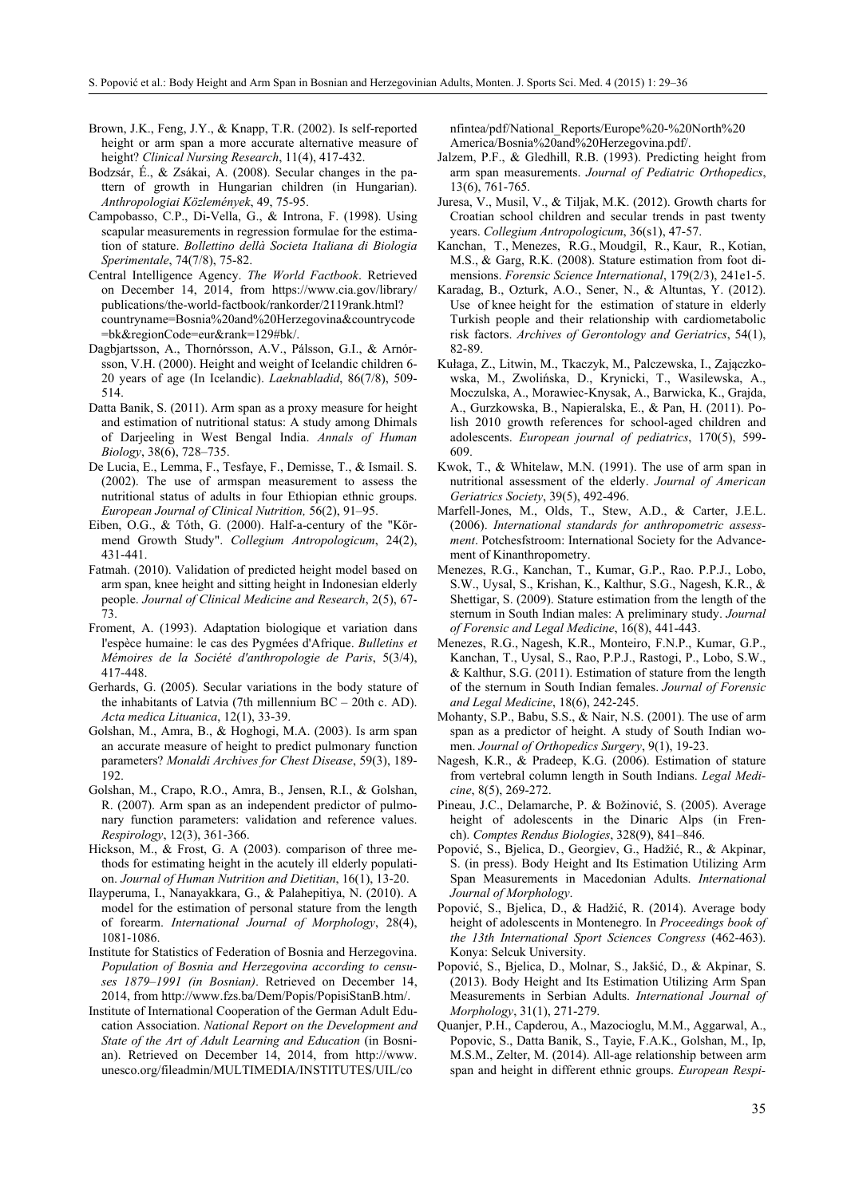- Brown, J.K., Feng, J.Y., & Knapp, T.R. (2002). Is self-reported height or arm span a more accurate alternative measure of height? *Clinical Nursing Research*, 11(4), 417-432.
- Bodzsár, É., & Zsákai, A. (2008). Secular changes in the pattern of growth in Hungarian children (in Hungarian). *Anthropologiai Közlemények*, 49, 75-95.
- Campobasso, C.P., Di-Vella, G., & Introna, F. (1998). Using scapular measurements in regression formulae for the estimation of stature. *Bollettino dellà Societa Italiana di Biologia Sperimentale*, 74(7/8), 75-82.
- Central Intelligence Agency. *The World Factbook*. Retrieved on December 14, 2014, from https://www.cia.gov/library/ publications/the-world-factbook/rankorder/2119rank.html? countryname=Bosnia%20and%20Herzegovina&countrycode =bk&regionCode=eur&rank=129#bk/.
- Dagbjartsson, A., Thornórsson, A.V., Pálsson, G.I., & Arnórsson, V.H. (2000). Height and weight of Icelandic children 6- 20 years of age (In Icelandic). *Laeknabladid*, 86(7/8), 509- 514.
- Datta Banik, S. (2011). Arm span as a proxy measure for height and estimation of nutritional status: A study among Dhimals of Darjeeling in West Bengal India. *Annals of Human Biology*, 38(6), 728–735.
- De Lucia, E., Lemma, F., Tesfaye, F., Demisse, T., & Ismail. S. (2002). The use of armspan measurement to assess the nutritional status of adults in four Ethiopian ethnic groups. *European Journal of Clinical Nutrition,* 56(2), 91–95.
- Eiben, O.G., & Tóth, G. (2000). Half-a-century of the "Körmend Growth Study". *Collegium Antropologicum*, 24(2), 431-441.
- Fatmah. (2010). Validation of predicted height model based on arm span, knee height and sitting height in Indonesian elderly people. *Journal of Clinical Medicine and Research*, 2(5), 67- 73.
- Froment, A. (1993). Adaptation biologique et variation dans l'espèce humaine: le cas des Pygmées d'Afrique. *Bulletins et Mémoires de la Société d'anthropologie de Paris*, 5(3/4), 417-448.
- Gerhards, G. (2005). Secular variations in the body stature of the inhabitants of Latvia (7th millennium BC – 20th c. AD). *Acta medica Lituanica*, 12(1), 33-39.
- Golshan, M., Amra, B., & Hoghogi, M.A. (2003). Is arm span an accurate measure of height to predict pulmonary function parameters? *Monaldi Archives for Chest Disease*, 59(3), 189- 192.
- Golshan, M., Crapo, R.O., Amra, B., Jensen, R.I., & Golshan, R. (2007). Arm span as an independent predictor of pulmonary function parameters: validation and reference values. *Respirology*, 12(3), 361-366.
- Hickson, M., & Frost, G. A (2003). comparison of three methods for estimating height in the acutely ill elderly population. *Journal of Human Nutrition and Dietitian*, 16(1), 13-20.
- Ilayperuma, I., Nanayakkara, G., & Palahepitiya, N. (2010). A model for the estimation of personal stature from the length of forearm. *International Journal of Morphology*, 28(4), 1081-1086.
- Institute for Statistics of Federation of Bosnia and Herzegovina. *Population of Bosnia and Herzegovina according to censuses 1879–1991 (in Bosnian)*. Retrieved on December 14, 2014, from http://www.fzs.ba/Dem/Popis/PopisiStanB.htm/.
- Institute of International Cooperation of the German Adult Education Association. *National Report on the Development and State of the Art of Adult Learning and Education* (in Bosnian). Retrieved on December 14, 2014, from http://www. unesco.org/fileadmin/MULTIMEDIA/INSTITUTES/UIL/co

nfintea/pdf/National\_Reports/Europe%20-%20North%20 America/Bosnia%20and%20Herzegovina.pdf/.

- Jalzem, P.F., & Gledhill, R.B. (1993). Predicting height from arm span measurements. *Journal of Pediatric Orthopedics*, 13(6), 761-765.
- Juresa, V., Musil, V., & Tiljak, M.K. (2012). Growth charts for Croatian school children and secular trends in past twenty years. *Collegium Antropologicum*, 36(s1), 47-57.
- Kanchan, T., Menezes, R.G., Moudgil, R., Kaur, R., Kotian, M.S., & Garg, R.K. (2008). Stature estimation from foot dimensions. *Forensic Science International*, 179(2/3), 241e1-5.
- Karadag, B., Ozturk, A.O., Sener, N., & Altuntas, Y. (2012). Use of knee height for the estimation of stature in elderly Turkish people and their relationship with cardiometabolic risk factors. *Archives of Gerontology and Geriatrics*, 54(1), 82-89.
- Kułaga, Z., Litwin, M., Tkaczyk, M., Palczewska, I., Zajączkowska, M., Zwolińska, D., Krynicki, T., Wasilewska, A., Moczulska, A., Morawiec-Knysak, A., Barwicka, K., Grajda, A., Gurzkowska, B., Napieralska, E., & Pan, H. (2011). Polish 2010 growth references for school-aged children and adolescents. *European journal of pediatrics*, 170(5), 599- 609.
- Kwok, T., & Whitelaw, M.N. (1991). The use of arm span in nutritional assessment of the elderly. *Journal of American Geriatrics Society*, 39(5), 492-496.
- Marfell-Jones, M., Olds, T., Stew, A.D., & Carter, J.E.L. (2006). *International standards for anthropometric assessment*. Potchesfstroom: International Society for the Advancement of Kinanthropometry.
- Menezes, R.G., Kanchan, T., Kumar, G.P., Rao. P.P.J., Lobo, S.W., Uysal, S., Krishan, K., Kalthur, S.G., Nagesh, K.R., & Shettigar, S. (2009). Stature estimation from the length of the sternum in South Indian males: A preliminary study. *Journal of Forensic and Legal Medicine*, 16(8), 441-443.
- Menezes, R.G., Nagesh, K.R., Monteiro, F.N.P., Kumar, G.P., Kanchan, T., Uysal, S., Rao, P.P.J., Rastogi, P., Lobo, S.W., & Kalthur, S.G. (2011). Estimation of stature from the length of the sternum in South Indian females. *Journal of Forensic and Legal Medicine*, 18(6), 242-245.
- Mohanty, S.P., Babu, S.S., & Nair, N.S. (2001). The use of arm span as a predictor of height. A study of South Indian women. *Journal of Orthopedics Surgery*, 9(1), 19-23.
- Nagesh, K.R., & Pradeep, K.G. (2006). Estimation of stature from vertebral column length in South Indians. *Legal Medicine*, 8(5), 269-272.
- Pineau, J.C., Delamarche, P. & Božinović, S. (2005). Average height of adolescents in the Dinaric Alps (in French). *Comptes Rendus Biologies*, 328(9), 841–846.
- Popović, S., Bjelica, D., Georgiev, G., Hadžić, R., & Akpinar, S. (in press). Body Height and Its Estimation Utilizing Arm Span Measurements in Macedonian Adults. *International Journal of Morphology*.
- Popović, S., Bjelica, D., & Hadžić, R. (2014). Average body height of adolescents in Montenegro. In *Proceedings book of the 13th International Sport Sciences Congress* (462-463). Konya: Selcuk University.
- Popović, S., Bjelica, D., Molnar, S., Jakšić, D., & Akpinar, S. (2013). Body Height and Its Estimation Utilizing Arm Span Measurements in Serbian Adults. *International Journal of Morphology*, 31(1), 271-279.
- Quanjer, P.H., Capderou, A., Mazocioglu, M.M., Aggarwal, A., Popovic, S., Datta Banik, S., Tayie, F.A.K., Golshan, M., Ip, M.S.M., Zelter, M. (2014). All-age relationship between arm span and height in different ethnic groups. *European Respi-*